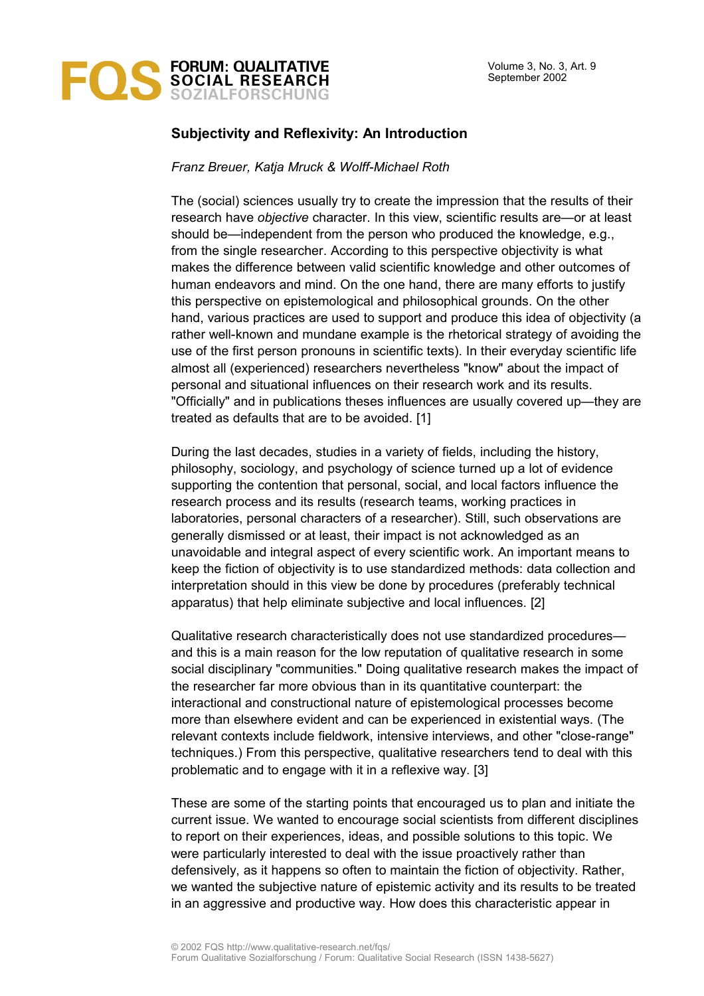

## **Subjectivity and Reflexivity: An Introduction**

*Franz Breuer, Katja Mruck & Wolff-Michael Roth*

The (social) sciences usually try to create the impression that the results of their research have *objective* character. In this view, scientific results are—or at least should be—independent from the person who produced the knowledge, e.g., from the single researcher. According to this perspective objectivity is what makes the difference between valid scientific knowledge and other outcomes of human endeavors and mind. On the one hand, there are many efforts to justify this perspective on epistemological and philosophical grounds. On the other hand, various practices are used to support and produce this idea of objectivity (a rather well-known and mundane example is the rhetorical strategy of avoiding the use of the first person pronouns in scientific texts). In their everyday scientific life almost all (experienced) researchers nevertheless "know" about the impact of personal and situational influences on their research work and its results. "Officially" and in publications theses influences are usually covered up—they are treated as defaults that are to be avoided. [1]

During the last decades, studies in a variety of fields, including the history, philosophy, sociology, and psychology of science turned up a lot of evidence supporting the contention that personal, social, and local factors influence the research process and its results (research teams, working practices in laboratories, personal characters of a researcher). Still, such observations are generally dismissed or at least, their impact is not acknowledged as an unavoidable and integral aspect of every scientific work. An important means to keep the fiction of objectivity is to use standardized methods: data collection and interpretation should in this view be done by procedures (preferably technical apparatus) that help eliminate subjective and local influences. [2]

Qualitative research characteristically does not use standardized procedures and this is a main reason for the low reputation of qualitative research in some social disciplinary "communities." Doing qualitative research makes the impact of the researcher far more obvious than in its quantitative counterpart: the interactional and constructional nature of epistemological processes become more than elsewhere evident and can be experienced in existential ways. (The relevant contexts include fieldwork, intensive interviews, and other "close-range" techniques.) From this perspective, qualitative researchers tend to deal with this problematic and to engage with it in a reflexive way. [3]

These are some of the starting points that encouraged us to plan and initiate the current issue. We wanted to encourage social scientists from different disciplines to report on their experiences, ideas, and possible solutions to this topic. We were particularly interested to deal with the issue proactively rather than defensively, as it happens so often to maintain the fiction of objectivity. Rather, we wanted the subjective nature of epistemic activity and its results to be treated in an aggressive and productive way. How does this characteristic appear in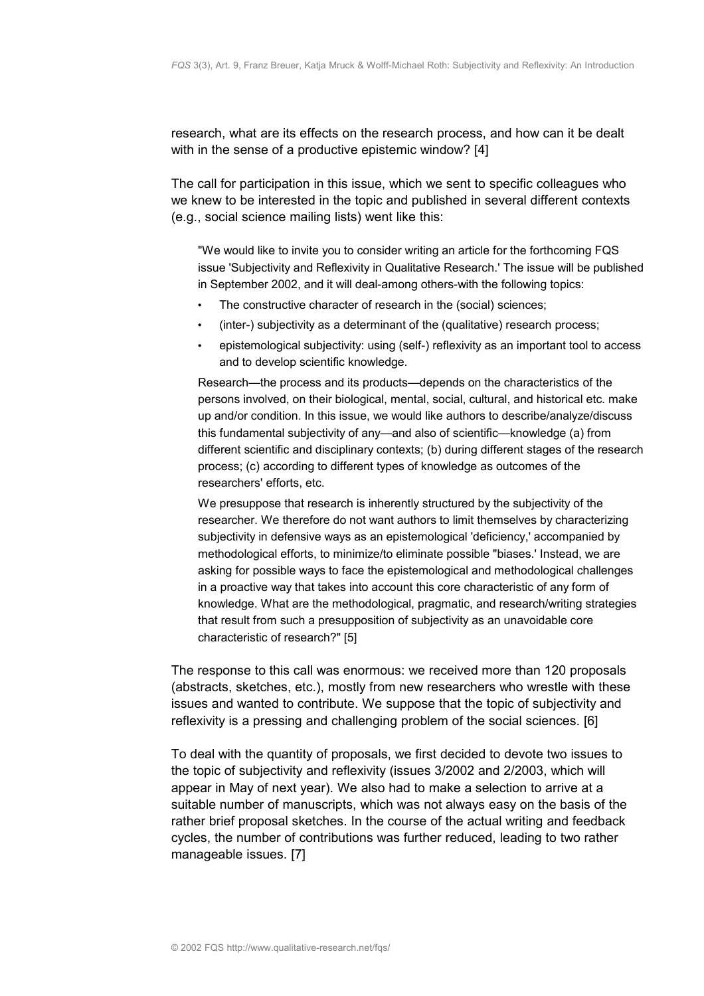research, what are its effects on the research process, and how can it be dealt with in the sense of a productive epistemic window? [4]

The call for participation in this issue, which we sent to specific colleagues who we knew to be interested in the topic and published in several different contexts (e.g., social science mailing lists) went like this:

"We would like to invite you to consider writing an article for the forthcoming FQS issue 'Subjectivity and Reflexivity in Qualitative Research.' The issue will be published in September 2002, and it will deal-among others-with the following topics:

- The constructive character of research in the (social) sciences;
- (inter-) subjectivity as a determinant of the (qualitative) research process;
- epistemological subjectivity: using (self-) reflexivity as an important tool to access and to develop scientific knowledge.

Research—the process and its products—depends on the characteristics of the persons involved, on their biological, mental, social, cultural, and historical etc. make up and/or condition. In this issue, we would like authors to describe/analyze/discuss this fundamental subjectivity of any—and also of scientific—knowledge (a) from different scientific and disciplinary contexts; (b) during different stages of the research process; (c) according to different types of knowledge as outcomes of the researchers' efforts, etc.

We presuppose that research is inherently structured by the subjectivity of the researcher. We therefore do not want authors to limit themselves by characterizing subjectivity in defensive ways as an epistemological 'deficiency,' accompanied by methodological efforts, to minimize/to eliminate possible "biases.' Instead, we are asking for possible ways to face the epistemological and methodological challenges in a proactive way that takes into account this core characteristic of any form of knowledge. What are the methodological, pragmatic, and research/writing strategies that result from such a presupposition of subjectivity as an unavoidable core characteristic of research?" [5]

The response to this call was enormous: we received more than 120 proposals (abstracts, sketches, etc.), mostly from new researchers who wrestle with these issues and wanted to contribute. We suppose that the topic of subjectivity and reflexivity is a pressing and challenging problem of the social sciences. [6]

To deal with the quantity of proposals, we first decided to devote two issues to the topic of subjectivity and reflexivity (issues 3/2002 and 2/2003, which will appear in May of next year). We also had to make a selection to arrive at a suitable number of manuscripts, which was not always easy on the basis of the rather brief proposal sketches. In the course of the actual writing and feedback cycles, the number of contributions was further reduced, leading to two rather manageable issues. [7]